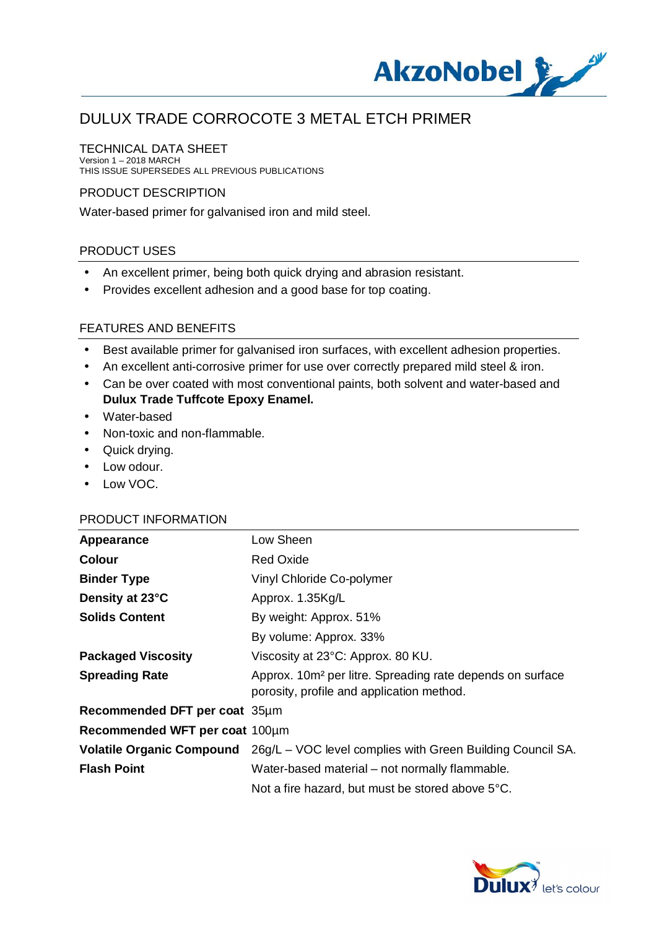

### TECHNICAL DATA SHEET

Version 1 – 2018 MARCH THIS ISSUE SUPERSEDES ALL PREVIOUS PUBLICATIONS

### PRODUCT DESCRIPTION

Water-based primer for galvanised iron and mild steel.

#### PRODUCT USES

- An excellent primer, being both quick drying and abrasion resistant. ä,
- Provides excellent adhesion and a good base for top coating. ÷,

#### FEATURES AND BENEFITS

- Best available primer for galvanised iron surfaces, with excellent adhesion properties.
- An excellent anti-corrosive primer for use over correctly prepared mild steel & iron.
- Can be over coated with most conventional paints, both solvent and water-based and **Dulux Trade Tuffcote Epoxy Enamel.**
- Water-based
- Non-toxic and non-flammable.
- Quick drying.
- . Low odour.
- . Low VOC.

#### PRODUCT INFORMATION

| Appearance                     | Low Sheen                                                                                                          |
|--------------------------------|--------------------------------------------------------------------------------------------------------------------|
| <b>Colour</b>                  | <b>Red Oxide</b>                                                                                                   |
| <b>Binder Type</b>             | Vinyl Chloride Co-polymer                                                                                          |
| Density at 23°C                | Approx. 1.35Kg/L                                                                                                   |
| <b>Solids Content</b>          | By weight: Approx. 51%                                                                                             |
|                                | By volume: Approx. 33%                                                                                             |
| <b>Packaged Viscosity</b>      | Viscosity at 23°C: Approx. 80 KU.                                                                                  |
| <b>Spreading Rate</b>          | Approx. 10m <sup>2</sup> per litre. Spreading rate depends on surface<br>porosity, profile and application method. |
| Recommended DFT per coat 35µm  |                                                                                                                    |
| Recommended WFT per coat 100µm |                                                                                                                    |
|                                | Volatile Organic Compound 26g/L - VOC level complies with Green Building Council SA.                               |
| <b>Flash Point</b>             | Water-based material – not normally flammable.                                                                     |
|                                | Not a fire hazard, but must be stored above 5°C.                                                                   |

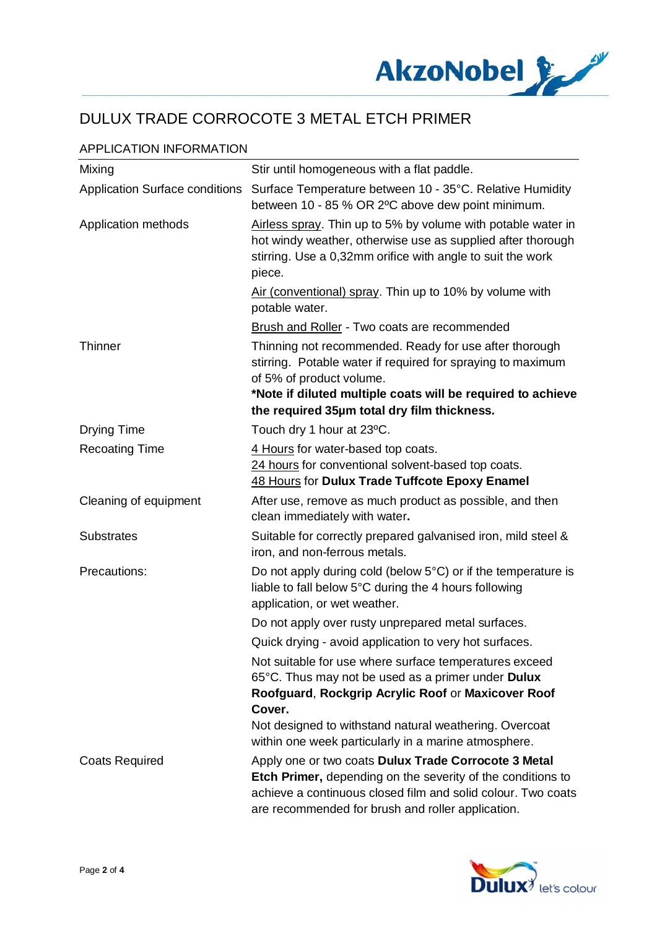

## APPLICATION INFORMATION

| Mixing                                | Stir until homogeneous with a flat paddle.                                                                                                                                                                                               |
|---------------------------------------|------------------------------------------------------------------------------------------------------------------------------------------------------------------------------------------------------------------------------------------|
| <b>Application Surface conditions</b> | Surface Temperature between 10 - 35°C. Relative Humidity<br>between 10 - 85 % OR 2°C above dew point minimum.                                                                                                                            |
| Application methods                   | Airless spray. Thin up to 5% by volume with potable water in<br>hot windy weather, otherwise use as supplied after thorough<br>stirring. Use a 0,32mm orifice with angle to suit the work<br>piece.                                      |
|                                       | Air (conventional) spray. Thin up to 10% by volume with<br>potable water.                                                                                                                                                                |
|                                       | <b>Brush and Roller</b> - Two coats are recommended                                                                                                                                                                                      |
| Thinner                               | Thinning not recommended. Ready for use after thorough<br>stirring. Potable water if required for spraying to maximum<br>of 5% of product volume.<br>*Note if diluted multiple coats will be required to achieve                         |
|                                       | the required 35µm total dry film thickness.                                                                                                                                                                                              |
| <b>Drying Time</b>                    | Touch dry 1 hour at 23°C.                                                                                                                                                                                                                |
| <b>Recoating Time</b>                 | 4 Hours for water-based top coats.<br>24 hours for conventional solvent-based top coats.<br>48 Hours for Dulux Trade Tuffcote Epoxy Enamel                                                                                               |
| Cleaning of equipment                 | After use, remove as much product as possible, and then<br>clean immediately with water.                                                                                                                                                 |
| <b>Substrates</b>                     | Suitable for correctly prepared galvanised iron, mild steel &<br>iron, and non-ferrous metals.                                                                                                                                           |
| Precautions:                          | Do not apply during cold (below $5^{\circ}$ C) or if the temperature is<br>liable to fall below 5°C during the 4 hours following<br>application, or wet weather.                                                                         |
|                                       | Do not apply over rusty unprepared metal surfaces.                                                                                                                                                                                       |
|                                       | Quick drying - avoid application to very hot surfaces.                                                                                                                                                                                   |
|                                       | Not suitable for use where surface temperatures exceed<br>65°C. Thus may not be used as a primer under Dulux<br>Roofguard, Rockgrip Acrylic Roof or Maxicover Roof<br>Cover.                                                             |
|                                       | Not designed to withstand natural weathering. Overcoat<br>within one week particularly in a marine atmosphere.                                                                                                                           |
| <b>Coats Required</b>                 | Apply one or two coats Dulux Trade Corrocote 3 Metal<br>Etch Primer, depending on the severity of the conditions to<br>achieve a continuous closed film and solid colour. Two coats<br>are recommended for brush and roller application. |

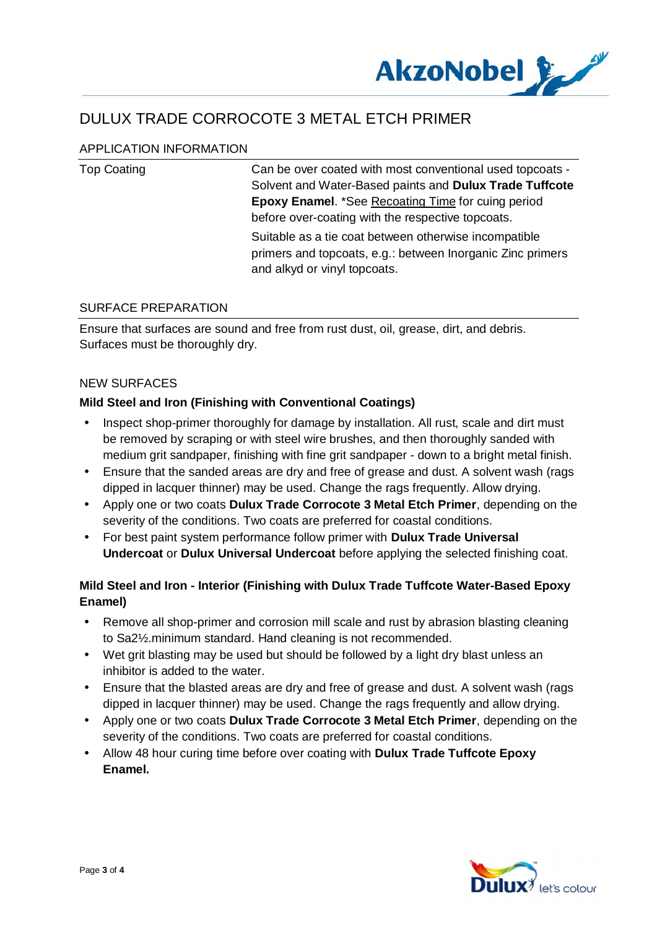

## APPLICATION INFORMATION

| <b>Top Coating</b> | Can be over coated with most conventional used topcoats -<br>Solvent and Water-Based paints and Dulux Trade Tuffcote<br><b>Epoxy Enamel. *See Recoating Time for cuing period</b> |
|--------------------|-----------------------------------------------------------------------------------------------------------------------------------------------------------------------------------|
|                    | before over-coating with the respective topcoats.<br>Suitable as a tie coat between otherwise incompatible                                                                        |
|                    | primers and topcoats, e.g.: between Inorganic Zinc primers<br>and alkyd or vinyl topcoats.                                                                                        |

### SURFACE PREPARATION

Ensure that surfaces are sound and free from rust dust, oil, grease, dirt, and debris. Surfaces must be thoroughly dry.

#### NEW SURFACES

#### **Mild Steel and Iron (Finishing with Conventional Coatings)**

- Inspect shop-primer thoroughly for damage by installation. All rust, scale and dirt must be removed by scraping or with steel wire brushes, and then thoroughly sanded with medium grit sandpaper, finishing with fine grit sandpaper - down to a bright metal finish.
- Ensure that the sanded areas are dry and free of grease and dust. A solvent wash (rags dipped in lacquer thinner) may be used. Change the rags frequently. Allow drying.
- Apply one or two coats **Dulux Trade Corrocote 3 Metal Etch Primer**, depending on the severity of the conditions. Two coats are preferred for coastal conditions.
- For best paint system performance follow primer with **Dulux Trade Universal Undercoat** or **Dulux Universal Undercoat** before applying the selected finishing coat.

## **Mild Steel and Iron - Interior (Finishing with Dulux Trade Tuffcote Water-Based Epoxy Enamel)**

- Remove all shop-primer and corrosion mill scale and rust by abrasion blasting cleaning to Sa2½.minimum standard. Hand cleaning is not recommended.
- Wet grit blasting may be used but should be followed by a light dry blast unless an inhibitor is added to the water.
- Ensure that the blasted areas are dry and free of grease and dust. A solvent wash (rags dipped in lacquer thinner) may be used. Change the rags frequently and allow drying.
- Apply one or two coats **Dulux Trade Corrocote 3 Metal Etch Primer**, depending on the severity of the conditions. Two coats are preferred for coastal conditions.
- Allow 48 hour curing time before over coating with **Dulux Trade Tuffcote Epoxy Enamel.**